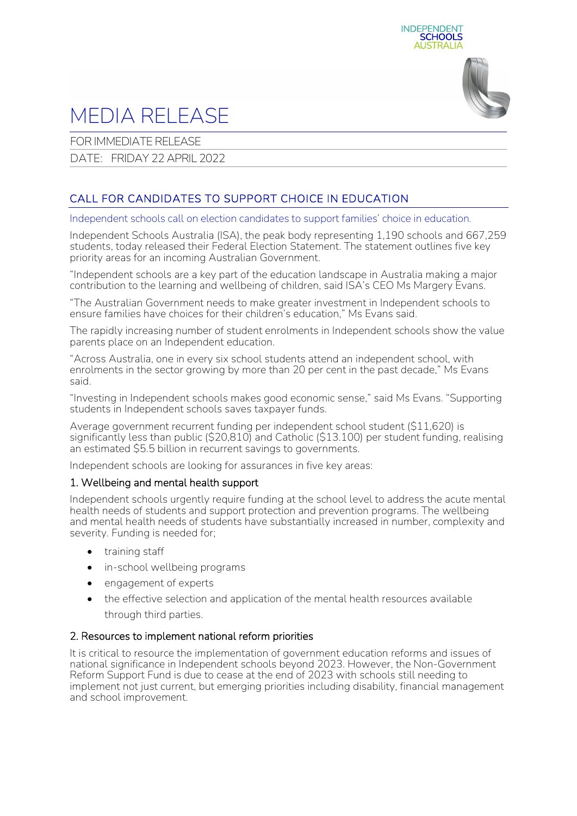



# MEDIA RELEASE

FOR IMMEDIATE RELEASE

DATE: FRIDAY 22 APRIL 2022

# CALL FOR CANDIDATES TO SUPPORT CHOICE IN EDUCATION

Independent schools call on election candidates to support families' choice in education.

Independent Schools Australia (ISA), the peak body representing 1,190 schools and 667,259 students, today released their Federal Election Statement. The statement outlines five key priority areas for an incoming Australian Government.

"Independent schools are a key part of the education landscape in Australia making a major contribution to the learning and wellbeing of children, said ISA's CEO Ms Margery Evans.

"The Australian Government needs to make greater investment in Independent schools to ensure families have choices for their children's education," Ms Evans said.

The rapidly increasing number of student enrolments in Independent schools show the value parents place on an Independent education.

"Across Australia, one in every six school students attend an independent school, with enrolments in the sector growing by more than 20 per cent in the past decade," Ms Evans said.

"Investing in Independent schools makes good economic sense," said Ms Evans. "Supporting students in Independent schools saves taxpayer funds.

Average government recurrent funding per independent school student (\$11,620) is significantly less than public (\$20,810) and Catholic (\$13.100) per student funding, realising an estimated \$5.5 billion in recurrent savings to governments.

Independent schools are looking for assurances in five key areas:

#### 1. Wellbeing and mental health support

Independent schools urgently require funding at the school level to address the acute mental health needs of students and support protection and prevention programs. The wellbeing and mental health needs of students have substantially increased in number, complexity and severity. Funding is needed for;

- training staff
- in-school wellbeing programs
- engagement of experts
- the effective selection and application of the mental health resources available through third parties.

#### 2. Resources to implement national reform priorities

It is critical to resource the implementation of government education reforms and issues of national significance in Independent schools beyond 2023. However, the Non-Government Reform Support Fund is due to cease at the end of 2023 with schools still needing to implement not just current, but emerging priorities including disability, financial management and school improvement.